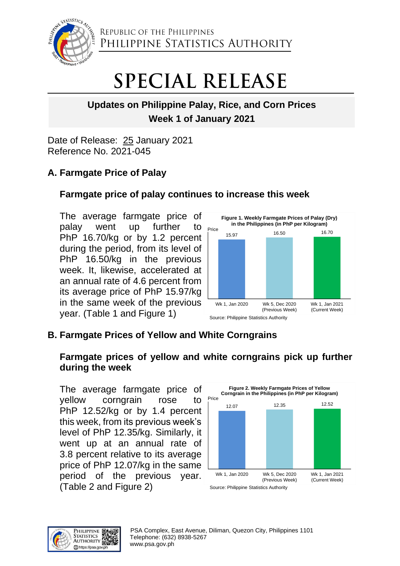

REPUBLIC OF THE PHILIPPINES PHILIPPINE STATISTICS AUTHORITY

# **SPECIAL RELEASE**

# **Updates on Philippine Palay, Rice, and Corn Prices Week 1 of January 2021**

Date of Release: 25 January 2021 Reference No. 2021-045

# **A. Farmgate Price of Palay**

## **Farmgate price of palay continues to increase this week**

The average farmgate price of palay went up further to PhP 16.70/kg or by 1.2 percent during the period, from its level of PhP 16.50/kg in the previous week. It, likewise, accelerated at an annual rate of 4.6 percent from its average price of PhP 15.97/kg in the same week of the previous year. (Table 1 and Figure 1)



# **B. Farmgate Prices of Yellow and White Corngrains**

## **Farmgate prices of yellow and white corngrains pick up further during the week**

The average farmgate price of yellow corngrain rose to PhP 12.52/kg or by 1.4 percent this week, from its previous week's level of PhP 12.35/kg. Similarly, it went up at an annual rate of 3.8 percent relative to its average price of PhP 12.07/kg in the same period of the previous year. (Table 2 and Figure 2)



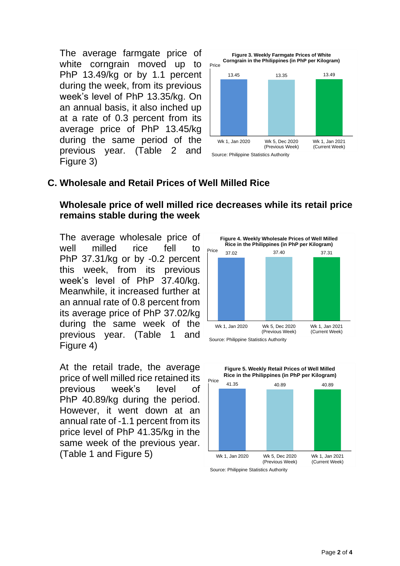The average farmgate price of white corngrain moved up to PhP 13.49/kg or by 1.1 percent during the week, from its previous week's level of PhP 13.35/kg. On an annual basis, it also inched up at a rate of 0.3 percent from its average price of PhP 13.45/kg during the same period of the previous year. (Table 2 and Figure 3)



#### **C. Wholesale and Retail Prices of Well Milled Rice**

#### **Wholesale price of well milled rice decreases while its retail price remains stable during the week**

The average wholesale price of well milled rice fell to PhP 37.31/kg or by -0.2 percent this week, from its previous week's level of PhP 37.40/kg. Meanwhile, it increased further at an annual rate of 0.8 percent from its average price of PhP 37.02/kg during the same week of the previous year. (Table 1 and Figure 4)

At the retail trade, the average price of well milled rice retained its previous week's level of PhP 40.89/kg during the period. However, it went down at an annual rate of -1.1 percent from its price level of PhP 41.35/kg in the same week of the previous year. (Table 1 and Figure 5)





Source: Philippine Statistics Authority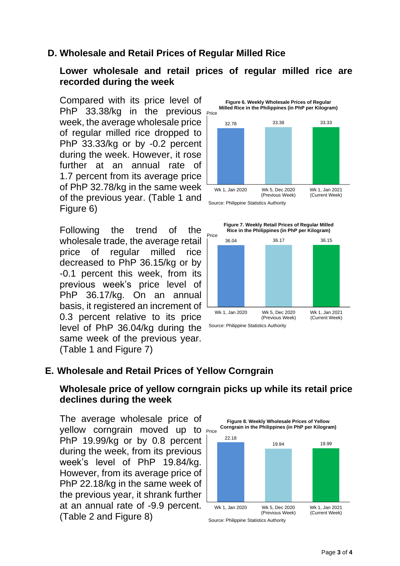## **D. Wholesale and Retail Prices of Regular Milled Rice**

#### **Lower wholesale and retail prices of regular milled rice are recorded during the week**

PhP  $33.38/kg$  in the previous  $_{\text{Price}}$ Compared with its price level of week, the average wholesale price of regular milled rice dropped to PhP 33.33/kg or by -0.2 percent during the week. However, it rose further at an annual rate of 1.7 percent from its average price of PhP 32.78/kg in the same week of the previous year. (Table 1 and Figure 6)

Following the trend of the wholesale trade, the average retail price of regular milled rice decreased to PhP 36.15/kg or by -0.1 percent this week, from its previous week's price level of PhP 36.17/kg. On an annual basis, it registered an increment of 0.3 percent relative to its price level of PhP 36.04/kg during the same week of the previous year. (Table 1 and Figure 7)





#### **E. Wholesale and Retail Prices of Yellow Corngrain**

## **Wholesale price of yellow corngrain picks up while its retail price declines during the week**

yellow corngrain moved up to **Price** The average wholesale price of PhP 19.99/kg or by 0.8 percent during the week, from its previous week's level of PhP 19.84/kg. However, from its average price of PhP 22.18/kg in the same week of the previous year, it shrank further at an annual rate of -9.9 percent. (Table 2 and Figure 8)